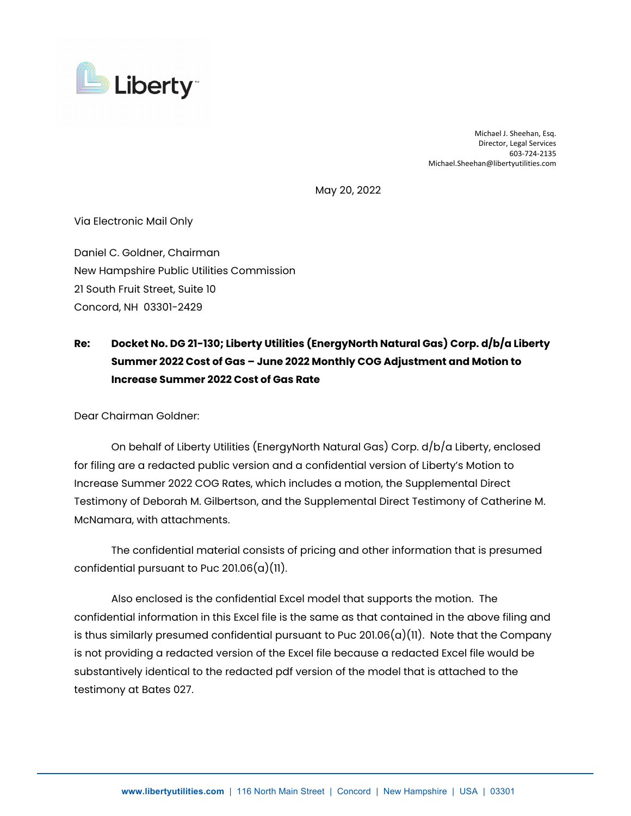

Michael J. Sheehan, Esq. Director, Legal Services 603‐724‐2135 Michael.Sheehan@libertyutilities.com

May 20, 2022

Via Electronic Mail Only

Daniel C. Goldner, Chairman New Hampshire Public Utilities Commission 21 South Fruit Street, Suite 10 Concord, NH 03301-2429

## **Re: Docket No. DG 21-130; Liberty Utilities (EnergyNorth Natural Gas) Corp. d/b/a Liberty Summer 2022 Cost of Gas – June 2022 Monthly COG Adjustment and Motion to Increase Summer 2022 Cost of Gas Rate**

Dear Chairman Goldner:

On behalf of Liberty Utilities (EnergyNorth Natural Gas) Corp. d/b/a Liberty, enclosed for filing are a redacted public version and a confidential version of Liberty's Motion to Increase Summer 2022 COG Rates, which includes a motion, the Supplemental Direct Testimony of Deborah M. Gilbertson, and the Supplemental Direct Testimony of Catherine M. McNamara, with attachments.

The confidential material consists of pricing and other information that is presumed confidential pursuant to Puc  $201.06(a)(11)$ .

Also enclosed is the confidential Excel model that supports the motion. The confidential information in this Excel file is the same as that contained in the above filing and is thus similarly presumed confidential pursuant to Puc 201.06 $(a)(11)$ . Note that the Company is not providing a redacted version of the Excel file because a redacted Excel file would be substantively identical to the redacted pdf version of the model that is attached to the testimony at Bates 027.